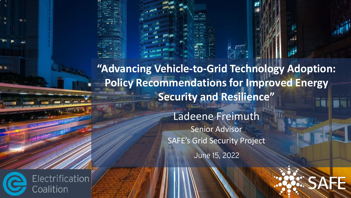**"Advancing Vehicle-to-Grid Technology Adoption: Policy Recommendations for Improved Energy Security and Resilience"** 

> Ladeene Freimuth Senior Advisor SAFE's Grid Security ProjectJune 15, 2022

Electrification

Coalition

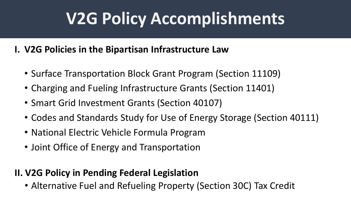## **V2G Policy Accomplishments**

### **I. V2G Policies in the Bipartisan Infrastructure Law**

- Surface Transportation Block Grant Program (Section 11109)
- Charging and Fueling Infrastructure Grants (Section 11401)
- Smart Grid Investment Grants (Section 40107)
- Codes and Standards Study for Use of Energy Storage (Section 40111)
- National Electric Vehicle Formula Program
- Joint Office of Energy and Transportation

#### **II. V2G Policy in Pending Federal Legislation**

• Alternative Fuel and Refueling Property (Section 30C) Tax Credit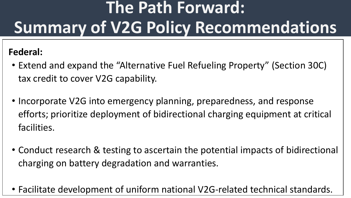# **The Path Forward: Summary of V2G Policy Recommendations**

### **Federal:**

- Extend and expand the "Alternative Fuel Refueling Property" (Section 30C) tax credit to cover V2G capability.
- Incorporate V2G into emergency planning, preparedness, and response efforts; prioritize deployment of bidirectional charging equipment at critical facilities.
- Conduct research & testing to ascertain the potential impacts of bidirectional charging on battery degradation and warranties.
- Facilitate development of uniform national V2G-related technical standards.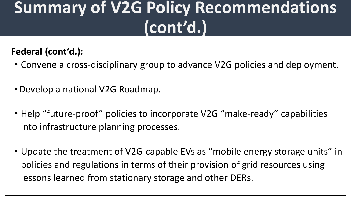## **Summary of V2G Policy Recommendations (cont'd.)**

### **Federal (cont'd.):**

- Convene a cross-disciplinary group to advance V2G policies and deployment.
- •Develop a national V2G Roadmap.
- Help "future-proof" policies to incorporate V2G "make-ready" capabilities into infrastructure planning processes.
- Update the treatment of V2G-capable EVs as "mobile energy storage units" in policies and regulations in terms of their provision of grid resources using lessons learned from stationary storage and other DERs.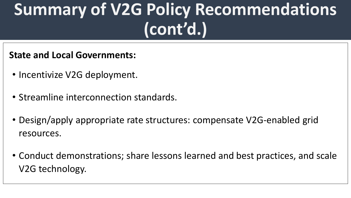## **Summary of V2G Policy Recommendations (cont'd.)**

#### **State and Local Governments:**

- Incentivize V2G deployment.
- Streamline interconnection standards.
- Design/apply appropriate rate structures: compensate V2G-enabled grid resources.
- Conduct demonstrations; share lessons learned and best practices, and scale V2G technology.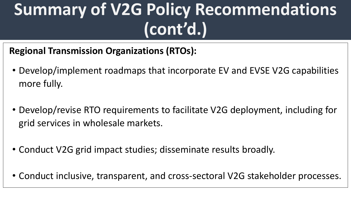## **Summary of V2G Policy Recommendations (cont'd.)**

**Regional Transmission Organizations (RTOs):**

- Develop/implement roadmaps that incorporate EV and EVSE V2G capabilities more fully.
- Develop/revise RTO requirements to facilitate V2G deployment, including for grid services in wholesale markets.
- Conduct V2G grid impact studies; disseminate results broadly.
- Conduct inclusive, transparent, and cross-sectoral V2G stakeholder processes.